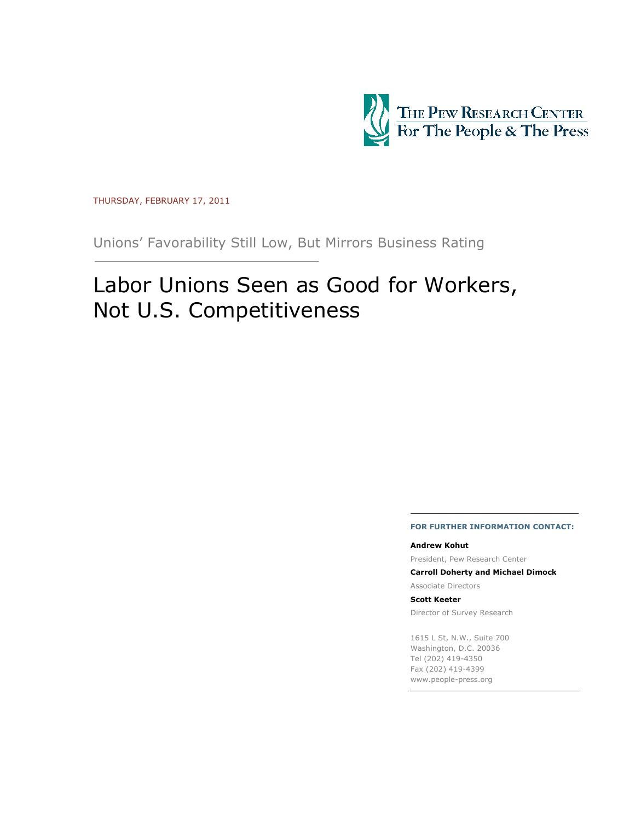

THURSDAY, FEBRUARY 17, 2011

Unions' Favorability Still Low, But Mirrors Business Rating

# Labor Unions Seen as Good for Workers, Not U.S. Competitiveness

#### FOR FURTHER INFORMATION CONTACT:

#### Andrew Kohut

President, Pew Research Center

Carroll Doherty and Michael Dimock

Associate Directors

#### Scott Keeter

Director of Survey Research

1615 L St, N.W., Suite 700 Washington, D.C. 20036 Tel (202) 419-4350 Fax (202) 419-4399 www.people-press.org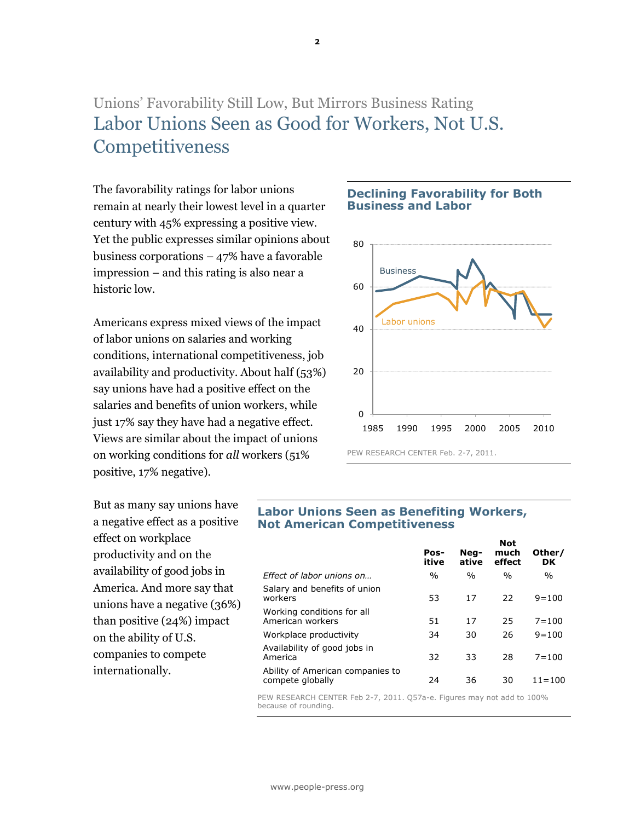## Unions' Favorability Still Low, But Mirrors Business Rating Labor Unions Seen as Good for Workers, Not U.S. **Competitiveness**

The favorability ratings for labor unions remain at nearly their lowest level in a quarter century with 45% expressing a positive view. Yet the public expresses similar opinions about business corporations – 47% have a favorable impression – and this rating is also near a historic low.

Americans express mixed views of the impact of labor unions on salaries and working conditions, international competitiveness, job availability and productivity. About half (53%) say unions have had a positive effect on the salaries and benefits of union workers, while just 17% say they have had a negative effect. Views are similar about the impact of unions on working conditions for all workers (51% positive, 17% negative).

Declining Favorability for Both Business and Labor



But as many say unions have a negative effect as a positive effect on workplace productivity and on the availability of good jobs in America. And more say that unions have a negative (36%) than positive (24%) impact on the ability of U.S. companies to compete internationally.

#### Labor Unions Seen as Benefiting Workers, Not American Competitiveness

| Pos-<br>itive | Nea-<br>ative | much<br>effect | Other/<br>DK  |
|---------------|---------------|----------------|---------------|
| $\%$          | $\frac{0}{0}$ | $\%$           | $\frac{0}{0}$ |
| 53            | 17            | 22             | $9 = 100$     |
| 51            | 17            | 25             | $7 = 100$     |
| 34            | 30            | 26             | $9 = 100$     |
| 32            | 33            | 28             | $7 = 100$     |
| 24            | 36            | 30             | $11 = 100$    |
|               |               |                | <b>Not</b>    |

PEW RESEARCH CENTER Feb 2-7, 2011. Q57a-e. Figures may not add to 100% because of rounding.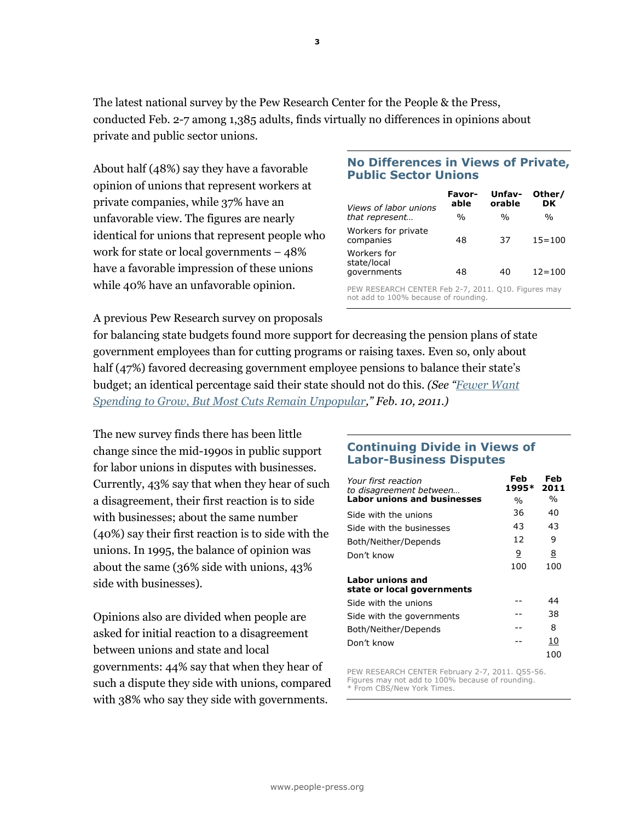The latest national survey by the Pew Research Center for the People & the Press, conducted Feb. 2-7 among 1,385 adults, finds virtually no differences in opinions about private and public sector unions.

About half (48%) say they have a favorable opinion of unions that represent workers at private companies, while 37% have an unfavorable view. The figures are nearly identical for unions that represent people who work for state or local governments – 48% have a favorable impression of these unions while 40% have an unfavorable opinion.

### No Differences in Views of Private, Public Sector Unions

| <i>Views of labor unions</i>                                                                | Favor-<br>able | Unfav-<br>orable | Other/<br>DK  |  |  |
|---------------------------------------------------------------------------------------------|----------------|------------------|---------------|--|--|
| that represent                                                                              | $\frac{0}{0}$  | $\frac{0}{0}$    | $\frac{0}{0}$ |  |  |
| Workers for private<br>companies                                                            | 48             | 37               | $15 = 100$    |  |  |
| Workers for<br>state/local                                                                  |                |                  |               |  |  |
| governments                                                                                 | 48             | 40               | $12 = 100$    |  |  |
| PEW RESEARCH CENTER Feb 2-7, 2011. Q10. Figures may<br>not add to 100% because of rounding. |                |                  |               |  |  |

A previous Pew Research survey on proposals

for balancing state budgets found more support for decreasing the pension plans of state government employees than for cutting programs or raising taxes. Even so, only about half (47%) favored decreasing government employee pensions to balance their state's budget; an identical percentage said their state should not do this. (See "Fewer Want Spending to Grow, But Most Cuts Remain Unpopular," Feb. 10, 2011.)

The new survey finds there has been little change since the mid-1990s in public support for labor unions in disputes with businesses. Currently, 43% say that when they hear of such a disagreement, their first reaction is to side with businesses; about the same number (40%) say their first reaction is to side with the unions. In 1995, the balance of opinion was about the same (36% side with unions, 43% side with businesses).

Opinions also are divided when people are asked for initial reaction to a disagreement between unions and state and local governments: 44% say that when they hear of such a dispute they side with unions, compared with  $38\%$  who say they side with governments.

### Continuing Divide in Views of Labor-Business Disputes

| Your first reaction<br>to disagreement between | Feb<br>1995*  | Feb<br>2011   |
|------------------------------------------------|---------------|---------------|
| <b>Labor unions and businesses</b>             | $\frac{0}{0}$ | $\frac{0}{0}$ |
| Side with the unions                           | 36            | 40            |
| Side with the businesses                       | 43            | 43            |
| Both/Neither/Depends                           | 12            | 9             |
| Don't know                                     | 9             | 8             |
|                                                | 100           | 100           |
| Labor unions and<br>state or local governments |               |               |
| Side with the unions                           |               | 44            |
| Side with the governments                      |               | 38            |
| Both/Neither/Depends                           |               | 8             |
| Don't know                                     |               | 10            |
|                                                |               | 100           |

PEW RESEARCH CENTER February 2-7, 2011. Q55-56. Figures may not add to 100% because of rounding. \* From CBS/New York Times.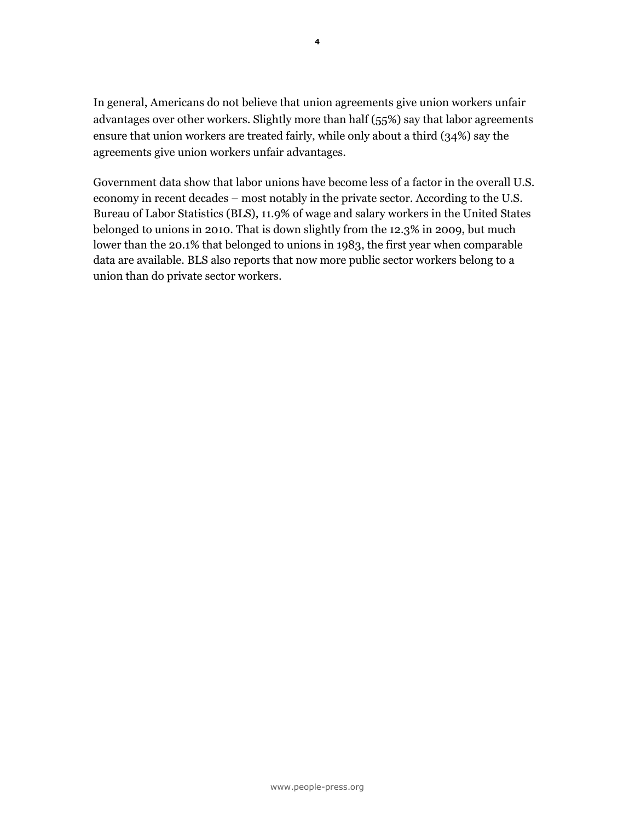In general, Americans do not believe that union agreements give union workers unfair advantages over other workers. Slightly more than half (55%) say that labor agreements ensure that union workers are treated fairly, while only about a third (34%) say the agreements give union workers unfair advantages.

Government data show that labor unions have become less of a factor in the overall U.S. economy in recent decades – most notably in the private sector. According to the U.S. Bureau of Labor Statistics (BLS), 11.9% of wage and salary workers in the United States belonged to unions in 2010. That is down slightly from the 12.3% in 2009, but much lower than the 20.1% that belonged to unions in 1983, the first year when comparable data are available. BLS also reports that now more public sector workers belong to a union than do private sector workers.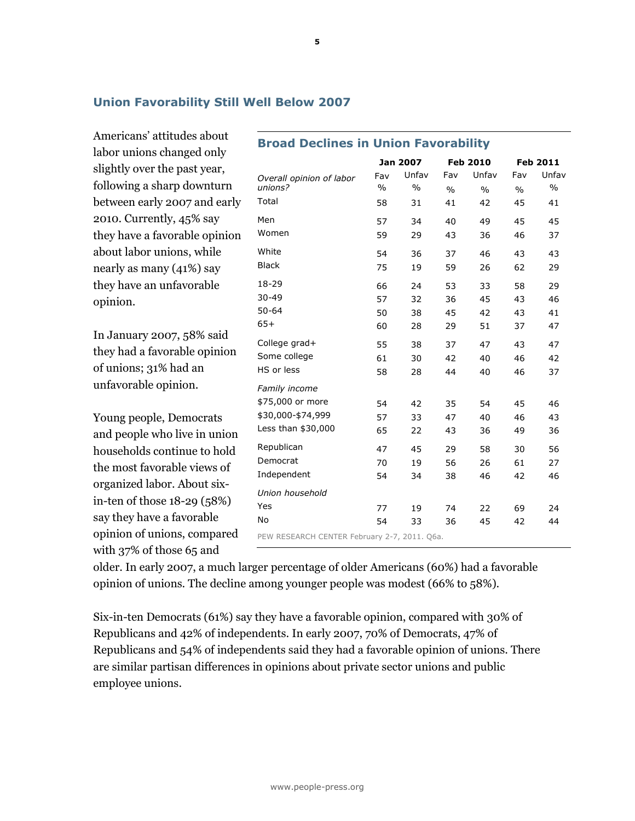### Union Favorability Still Well Below 2007

Americans' attitudes about labor unions changed only slightly over the past year, following a sharp downturn between early 2007 and early 2010. Currently, 45% say they have a favorable opinion about labor unions, while nearly as many (41%) say they have an unfavorable opinion.

In January 2007, 58% said they had a favorable opinion of unions; 31% had an unfavorable opinion.

Young people, Democrats and people who live in union households continue to hold the most favorable views of organized labor. About sixin-ten of those 18-29 (58%) say they have a favorable opinion of unions, compared with 37% of those 65 and

| <b>Broad Declines in Union Favorability</b>  |               |                 |               |                 |               |               |
|----------------------------------------------|---------------|-----------------|---------------|-----------------|---------------|---------------|
|                                              |               | <b>Jan 2007</b> |               | <b>Feb 2010</b> |               | Feb 2011      |
| Overall opinion of labor                     | Fav           | Unfav           | Fav           | Unfav           | Fav           | Unfav         |
| unions?                                      | $\frac{0}{0}$ | $\frac{0}{0}$   | $\frac{0}{0}$ | $\frac{0}{0}$   | $\frac{0}{0}$ | $\frac{0}{0}$ |
| Total                                        | 58            | 31              | 41            | 42              | 45            | 41            |
| Men                                          | 57            | 34              | 40            | 49              | 45            | 45            |
| Women                                        | 59            | 29              | 43            | 36              | 46            | 37            |
| White                                        | 54            | 36              | 37            | 46              | 43            | 43            |
| <b>Black</b>                                 | 75            | 19              | 59            | 26              | 62            | 29            |
| 18-29                                        | 66            | 24              | 53            | 33              | 58            | 29            |
| $30 - 49$                                    | 57            | 32              | 36            | 45              | 43            | 46            |
| $50 - 64$                                    | 50            | 38              | 45            | 42              | 43            | 41            |
| $65+$                                        | 60            | 28              | 29            | 51              | 37            | 47            |
| College grad+                                | 55            | 38              | 37            | 47              | 43            | 47            |
| Some college                                 | 61            | 30              | 42            | 40              | 46            | 42            |
| HS or less                                   | 58            | 28              | 44            | 40              | 46            | 37            |
| Family income                                |               |                 |               |                 |               |               |
| \$75,000 or more                             | 54            | 42              | 35            | 54              | 45            | 46            |
| \$30,000-\$74,999                            | 57            | 33              | 47            | 40              | 46            | 43            |
| Less than \$30,000                           | 65            | 22              | 43            | 36              | 49            | 36            |
| Republican                                   | 47            | 45              | 29            | 58              | 30            | 56            |
| Democrat                                     | 70            | 19              | 56            | 26              | 61            | 27            |
| Independent                                  | 54            | 34              | 38            | 46              | 42            | 46            |
| Union household                              |               |                 |               |                 |               |               |
| Yes                                          | 77            | 19              | 74            | 22              | 69            | 24            |
| <b>No</b>                                    | 54            | 33              | 36            | 45              | 42            | 44            |
| PEW RESEARCH CENTER February 2-7, 2011. Q6a. |               |                 |               |                 |               |               |

older. In early 2007, a much larger percentage of older Americans (60%) had a favorable opinion of unions. The decline among younger people was modest (66% to 58%).

Six-in-ten Democrats (61%) say they have a favorable opinion, compared with 30% of Republicans and 42% of independents. In early 2007, 70% of Democrats, 47% of Republicans and 54% of independents said they had a favorable opinion of unions. There are similar partisan differences in opinions about private sector unions and public employee unions.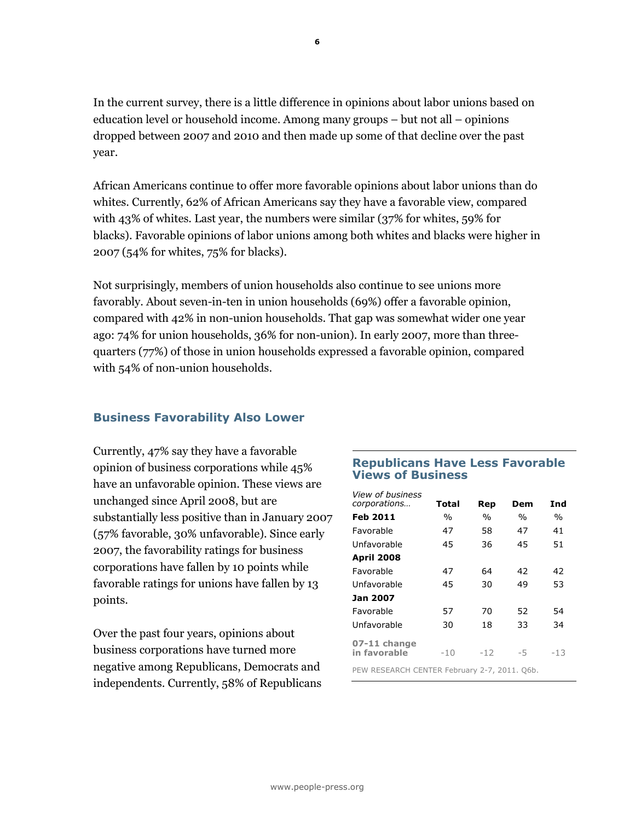In the current survey, there is a little difference in opinions about labor unions based on education level or household income. Among many groups – but not all – opinions dropped between 2007 and 2010 and then made up some of that decline over the past year.

African Americans continue to offer more favorable opinions about labor unions than do whites. Currently, 62% of African Americans say they have a favorable view, compared with 43% of whites. Last year, the numbers were similar (37% for whites, 59% for blacks). Favorable opinions of labor unions among both whites and blacks were higher in 2007 (54% for whites, 75% for blacks).

Not surprisingly, members of union households also continue to see unions more favorably. About seven-in-ten in union households (69%) offer a favorable opinion, compared with 42% in non-union households. That gap was somewhat wider one year ago: 74% for union households, 36% for non-union). In early 2007, more than threequarters (77%) of those in union households expressed a favorable opinion, compared with 54% of non-union households.

### Business Favorability Also Lower

Currently, 47% say they have a favorable opinion of business corporations while 45% have an unfavorable opinion. These views are unchanged since April 2008, but are substantially less positive than in January 2007 (57% favorable, 30% unfavorable). Since early 2007, the favorability ratings for business corporations have fallen by 10 points while favorable ratings for unions have fallen by 13 points.

Over the past four years, opinions about business corporations have turned more negative among Republicans, Democrats and independents. Currently, 58% of Republicans

### Republicans Have Less Favorable Views of Business

| <i><b>View of business</b></i><br>corporations | Total | Rep   | Dem           | Ind           |  |  |  |
|------------------------------------------------|-------|-------|---------------|---------------|--|--|--|
| <b>Feb 2011</b>                                | $\%$  | $\%$  | $\frac{0}{0}$ | $\frac{0}{0}$ |  |  |  |
| Favorable                                      | 47    | 58    | 47            | 41            |  |  |  |
| Unfavorable                                    | 45    | 36    | 45            | 51            |  |  |  |
| <b>April 2008</b>                              |       |       |               |               |  |  |  |
| Favorable                                      | 47    | 64    | 42            | 42            |  |  |  |
| Unfavorable                                    | 45    | 30    | 49            | 53            |  |  |  |
| Jan 2007                                       |       |       |               |               |  |  |  |
| Favorable                                      | 57    | 70    | 52            | 54            |  |  |  |
| Unfavorable                                    | 30    | 18    | 33            | 34            |  |  |  |
| 07-11 change                                   |       |       |               |               |  |  |  |
| in favorable                                   | $-10$ | $-12$ | -5            | -13           |  |  |  |
| PEW RESEARCH CENTER February 2-7, 2011. O6b.   |       |       |               |               |  |  |  |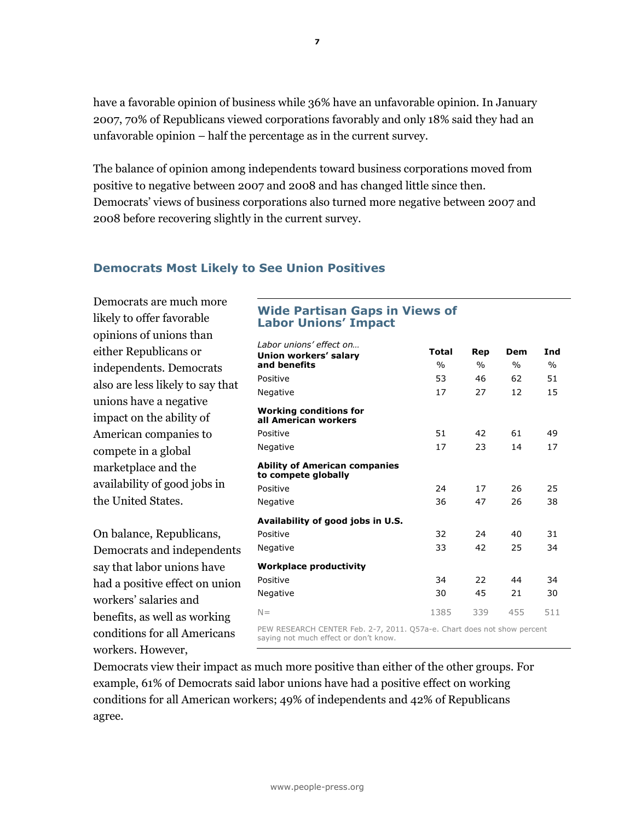have a favorable opinion of business while 36% have an unfavorable opinion. In January 2007, 70% of Republicans viewed corporations favorably and only 18% said they had an unfavorable opinion – half the percentage as in the current survey.

The balance of opinion among independents toward business corporations moved from positive to negative between 2007 and 2008 and has changed little since then. Democrats' views of business corporations also turned more negative between 2007 and 2008 before recovering slightly in the current survey.

### Democrats Most Likely to See Union Positives

Democrats are much more likely to offer favorable opinions of unions than either Republicans or independents. Democrats also are less likely to say that unions have a negative impact on the ability of American companies to compete in a global marketplace and the availability of good jobs in the United States.

On balance, Republicans, Democrats and independents say that labor unions have had a positive effect on union workers' salaries and benefits, as well as working conditions for all Americans workers. However,

### Wide Partisan Gaps in Views of Labor Unions' Impact

| Labor unions' effect on                                             | Total         | Rep           | Dem  | Ind           |
|---------------------------------------------------------------------|---------------|---------------|------|---------------|
| Union workers' salary<br>and benefits                               | $\frac{0}{0}$ | $\frac{0}{0}$ | $\%$ | $\frac{0}{n}$ |
| Positive                                                            | 53            | 46            | 62   | 51            |
| Negative                                                            | 17            | 27            | 12   | 15            |
| <b>Working conditions for</b><br>all American workers               |               |               |      |               |
| Positive                                                            | 51            | 42            | 61   | 49            |
| Negative                                                            | 17            | 23            | 14   | 17            |
| <b>Ability of American companies</b><br>to compete globally         |               |               |      |               |
| Positive                                                            | 24            | 17            | 26   | 25            |
| Negative                                                            | 36            | 47            | 26   | 38            |
| Availability of good jobs in U.S.                                   |               |               |      |               |
| Positive                                                            | 32            | 24            | 40   | 31            |
| Negative                                                            | 33            | 42            | 25   | 34            |
| <b>Workplace productivity</b>                                       |               |               |      |               |
| Positive                                                            | 34            | 22            | 44   | 34            |
| Negative                                                            | 30            | 45            | 21   | 30            |
| $N =$                                                               | 1385          | 339           | 455  | 511           |
| DEW RESEARCH CENTER Fah 2-7 2011 O573-a Chart does not show nercent |               |               |      |               |

PEW RESEARCH CENTER Feb. 2-7, 2011. Q57a-e. Chart does not show percent saying not much effect or don't know.

Democrats view their impact as much more positive than either of the other groups. For example, 61% of Democrats said labor unions have had a positive effect on working conditions for all American workers; 49% of independents and 42% of Republicans agree.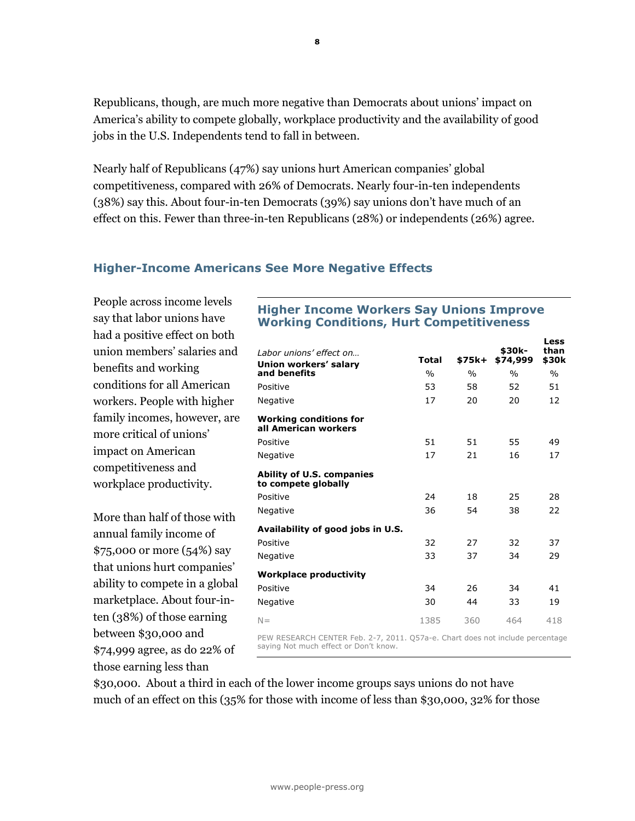Republicans, though, are much more negative than Democrats about unions' impact on America's ability to compete globally, workplace productivity and the availability of good jobs in the U.S. Independents tend to fall in between.

Nearly half of Republicans (47%) say unions hurt American companies' global competitiveness, compared with 26% of Democrats. Nearly four-in-ten independents (38%) say this. About four-in-ten Democrats (39%) say unions don't have much of an effect on this. Fewer than three-in-ten Republicans (28%) or independents (26%) agree.

### Higher-Income Americans See More Negative Effects

People across income levels say that labor unions have had a positive effect on both union members' salaries and benefits and working conditions for all American workers. People with higher family incomes, however, are more critical of unions' impact on American competitiveness and workplace productivity.

More than half of those with annual family income of \$75,000 or more (54%) say that unions hurt companies' ability to compete in a global marketplace. About four-inten (38%) of those earning between \$30,000 and \$74,999 agree, as do 22% of those earning less than

### Higher Income Workers Say Unions Improve Working Conditions, Hurt Competitiveness

Less

| Labor unions' effect on<br>Union workers' salary                                                                       | <b>Total</b>  | \$75k+        | \$30k-<br>\$74,999 | than<br>\$30k |  |  |
|------------------------------------------------------------------------------------------------------------------------|---------------|---------------|--------------------|---------------|--|--|
| and benefits                                                                                                           | $\frac{0}{0}$ | $\frac{0}{0}$ | $\frac{0}{0}$      | $\frac{0}{0}$ |  |  |
| Positive                                                                                                               | 53            | 58            | 52                 | 51            |  |  |
| Negative                                                                                                               | 17            | 20            | 20                 | 12            |  |  |
| <b>Working conditions for</b><br>all American workers                                                                  |               |               |                    |               |  |  |
| Positive                                                                                                               | 51            | 51            | 55                 | 49            |  |  |
| Negative                                                                                                               | 17            | 21            | 16                 | 17            |  |  |
| <b>Ability of U.S. companies</b><br>to compete globally                                                                |               |               |                    |               |  |  |
| Positive                                                                                                               | 24            | 18            | 25                 | 28            |  |  |
| Negative                                                                                                               | 36            | 54            | 38                 | 22            |  |  |
| Availability of good jobs in U.S.                                                                                      |               |               |                    |               |  |  |
| Positive                                                                                                               | 32            | 27            | 32                 | 37            |  |  |
| <b>Negative</b>                                                                                                        | 33            | 37            | 34                 | 29            |  |  |
| <b>Workplace productivity</b>                                                                                          |               |               |                    |               |  |  |
| Positive                                                                                                               | 34            | 26            | 34                 | 41            |  |  |
| Negative                                                                                                               | 30            | 44            | 33                 | 19            |  |  |
| $N =$                                                                                                                  | 1385          | 360           | 464                | 418           |  |  |
| PEW RESEARCH CENTER Feb. 2-7, 2011. O57a-e. Chart does not include percentage<br>saving Not much effect or Don't know. |               |               |                    |               |  |  |

\$30,000. About a third in each of the lower income groups says unions do not have much of an effect on this (35% for those with income of less than \$30,000, 32% for those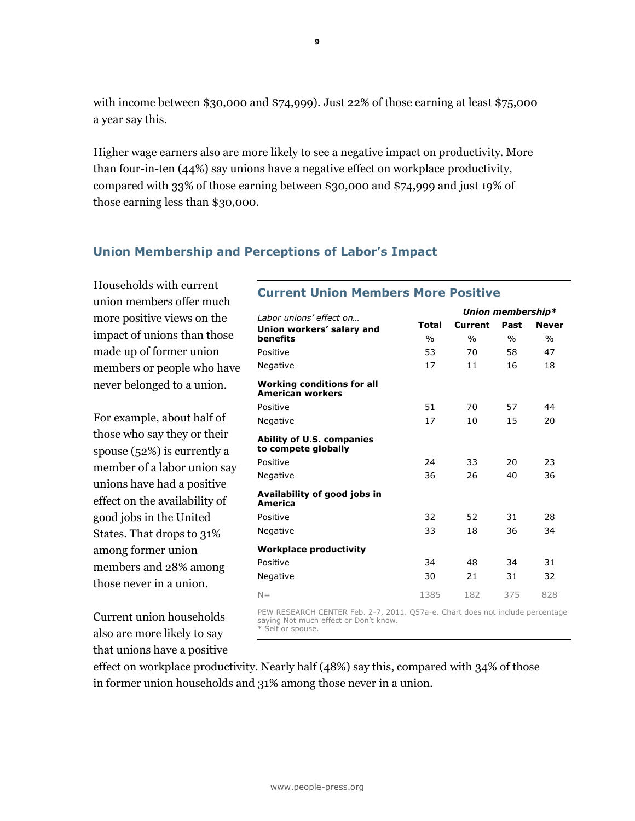with income between \$30,000 and \$74,999). Just 22% of those earning at least \$75,000 a year say this.

Higher wage earners also are more likely to see a negative impact on productivity. More than four-in-ten (44%) say unions have a negative effect on workplace productivity, compared with 33% of those earning between \$30,000 and \$74,999 and just 19% of those earning less than \$30,000.

### Union Membership and Perceptions of Labor's Impact

Households with current union members offer much more positive views on the impact of unions than those made up of former union members or people who have never belonged to a union.

For example, about half of those who say they or their spouse (52%) is currently a member of a labor union say unions have had a positive effect on the availability of good jobs in the United States. That drops to 31% among former union members and 28% among those never in a union.

Current union households also are more likely to say that unions have a positive

### Current Union Members More Positive

| Labor unions' effect on                                      |               | Union membership* |               |               |
|--------------------------------------------------------------|---------------|-------------------|---------------|---------------|
| Union workers' salary and                                    | Total         | Current           | Past          | <b>Never</b>  |
| benefits                                                     | $\frac{0}{0}$ | $\frac{0}{0}$     | $\frac{0}{0}$ | $\frac{0}{0}$ |
| Positive                                                     | 53            | 70                | 58            | 47            |
| <b>Negative</b>                                              | 17            | 11                | 16            | 18            |
| <b>Working conditions for all</b><br><b>American workers</b> |               |                   |               |               |
| Positive                                                     | 51            | 70                | 57            | 44            |
| Negative                                                     | 17            | 10                | 15            | 20            |
| <b>Ability of U.S. companies</b><br>to compete globally      |               |                   |               |               |
| Positive                                                     | 24            | 33                | 20            | 23            |
| <b>Negative</b>                                              | 36            | 26                | 40            | 36            |
| Availability of good jobs in<br>America                      |               |                   |               |               |
| Positive                                                     | 32            | 52                | 31            | 28            |
| Negative                                                     | 33            | 18                | 36            | 34            |
| <b>Workplace productivity</b>                                |               |                   |               |               |
| Positive                                                     | 34            | 48                | 34            | 31            |
| <b>Negative</b>                                              | 30            | 21                | 31            | 32            |
| $N =$                                                        | 1385          | 182               | 375           | 828           |

PEW RESEARCH CENTER Feb. 2-7, 2011. Q57a-e. Chart does not include percentage saying Not much effect or Don't know. \* Self or spouse.

effect on workplace productivity. Nearly half (48%) say this, compared with 34% of those in former union households and 31% among those never in a union.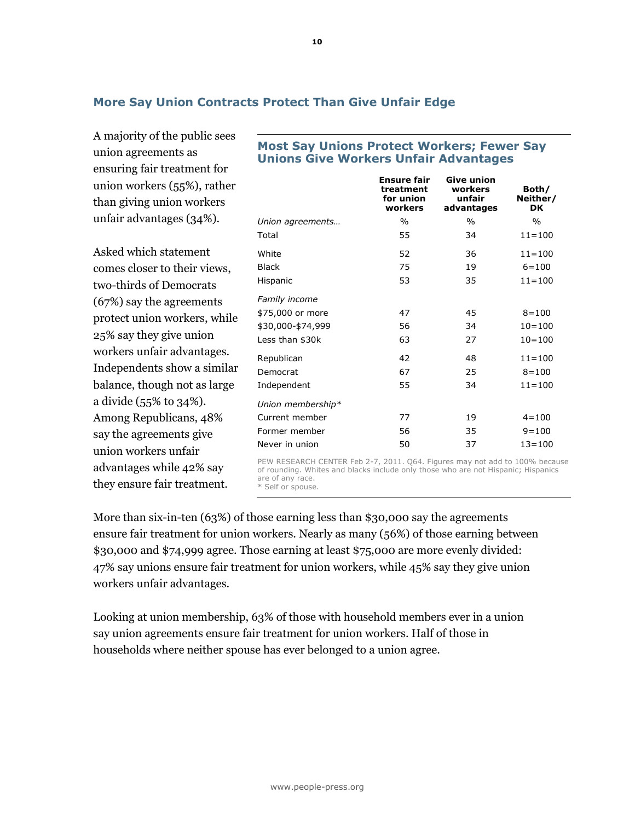### More Say Union Contracts Protect Than Give Unfair Edge

A majority of the public sees union agreements as ensuring fair treatment for union workers (55%), rather than giving union workers unfair advantages (34%).

Asked which statement comes closer to their views, two-thirds of Democrats (67%) say the agreements protect union workers, while 25% say they give union workers unfair advantages. Independents show a similar balance, though not as large a divide (55% to 34%). Among Republicans, 48% say the agreements give union workers unfair advantages while 42% say they ensure fair treatment.

### Most Say Unions Protect Workers; Fewer Say Unions Give Workers Unfair Advantages

|                   | <b>Ensure fair</b><br>treatment<br>for union<br>workers | <b>Give union</b><br>workers<br>unfair<br>advantages | Both/<br>Neither/<br><b>DK</b> |
|-------------------|---------------------------------------------------------|------------------------------------------------------|--------------------------------|
| Union agreements  | $\frac{0}{0}$                                           | $\frac{0}{0}$                                        | $\frac{0}{0}$                  |
| Total             | 55                                                      | 34                                                   | $11 = 100$                     |
| White             | 52                                                      | 36                                                   | $11 = 100$                     |
| <b>Black</b>      | 75                                                      | 19                                                   | $6 = 100$                      |
| Hispanic          | 53                                                      | 35                                                   | $11 = 100$                     |
| Family income     |                                                         |                                                      |                                |
| \$75,000 or more  | 47                                                      | 45                                                   | $8 = 100$                      |
| \$30,000-\$74,999 | 56                                                      | 34                                                   | $10 = 100$                     |
| Less than \$30k   | 63                                                      | 27                                                   | $10 = 100$                     |
| Republican        | 42                                                      | 48                                                   | $11 = 100$                     |
| Democrat          | 67                                                      | 25                                                   | $8 = 100$                      |
| Independent       | 55                                                      | 34                                                   | $11 = 100$                     |
| Union membership* |                                                         |                                                      |                                |
| Current member    | 77                                                      | 19                                                   | $4 = 100$                      |
| Former member     | 56                                                      | 35                                                   | $9 = 100$                      |
| Never in union    | 50                                                      | 37                                                   | $13 = 100$                     |

PEW RESEARCH CENTER Feb 2-7, 2011. Q64. Figures may not add to 100% because of rounding. Whites and blacks include only those who are not Hispanic; Hispanics are of any race.

\* Self or spouse.

More than six-in-ten (63%) of those earning less than \$30,000 say the agreements ensure fair treatment for union workers. Nearly as many (56%) of those earning between \$30,000 and \$74,999 agree. Those earning at least \$75,000 are more evenly divided: 47% say unions ensure fair treatment for union workers, while 45% say they give union workers unfair advantages.

Looking at union membership, 63% of those with household members ever in a union say union agreements ensure fair treatment for union workers. Half of those in households where neither spouse has ever belonged to a union agree.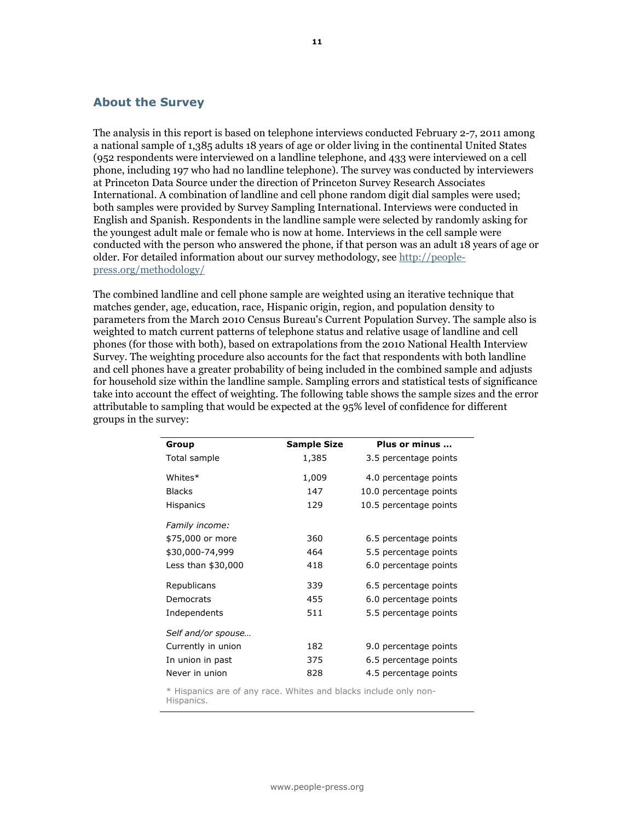### About the Survey

The analysis in this report is based on telephone interviews conducted February 2-7, 2011 among a national sample of 1,385 adults 18 years of age or older living in the continental United States (952 respondents were interviewed on a landline telephone, and 433 were interviewed on a cell phone, including 197 who had no landline telephone). The survey was conducted by interviewers at Princeton Data Source under the direction of Princeton Survey Research Associates International. A combination of landline and cell phone random digit dial samples were used; both samples were provided by Survey Sampling International. Interviews were conducted in English and Spanish. Respondents in the landline sample were selected by randomly asking for the youngest adult male or female who is now at home. Interviews in the cell sample were conducted with the person who answered the phone, if that person was an adult 18 years of age or older. For detailed information about our survey methodology, see http://peoplepress.org/methodology/

The combined landline and cell phone sample are weighted using an iterative technique that matches gender, age, education, race, Hispanic origin, region, and population density to parameters from the March 2010 Census Bureau's Current Population Survey. The sample also is weighted to match current patterns of telephone status and relative usage of landline and cell phones (for those with both), based on extrapolations from the 2010 National Health Interview Survey. The weighting procedure also accounts for the fact that respondents with both landline and cell phones have a greater probability of being included in the combined sample and adjusts for household size within the landline sample. Sampling errors and statistical tests of significance take into account the effect of weighting. The following table shows the sample sizes and the error attributable to sampling that would be expected at the 95% level of confidence for different groups in the survey:

| Group              | <b>Sample Size</b> | Plus or minus          |
|--------------------|--------------------|------------------------|
| Total sample       | 1,385              | 3.5 percentage points  |
| Whites*            | 1,009              | 4.0 percentage points  |
| <b>Blacks</b>      | 147                | 10.0 percentage points |
| <b>Hispanics</b>   | 129                | 10.5 percentage points |
| Family income:     |                    |                        |
| \$75,000 or more   | 360                | 6.5 percentage points  |
| \$30,000-74,999    | 464                | 5.5 percentage points  |
| Less than \$30,000 | 418                | 6.0 percentage points  |
| Republicans        | 339                | 6.5 percentage points  |
| Democrats          | 455                | 6.0 percentage points  |
| Independents       | 511                | 5.5 percentage points  |
| Self and/or spouse |                    |                        |
| Currently in union | 182                | 9.0 percentage points  |
| In union in past   | 375                | 6.5 percentage points  |
| Never in union     | 828                | 4.5 percentage points  |

\* Hispanics are of any race. Whites and blacks include only non-Hispanics.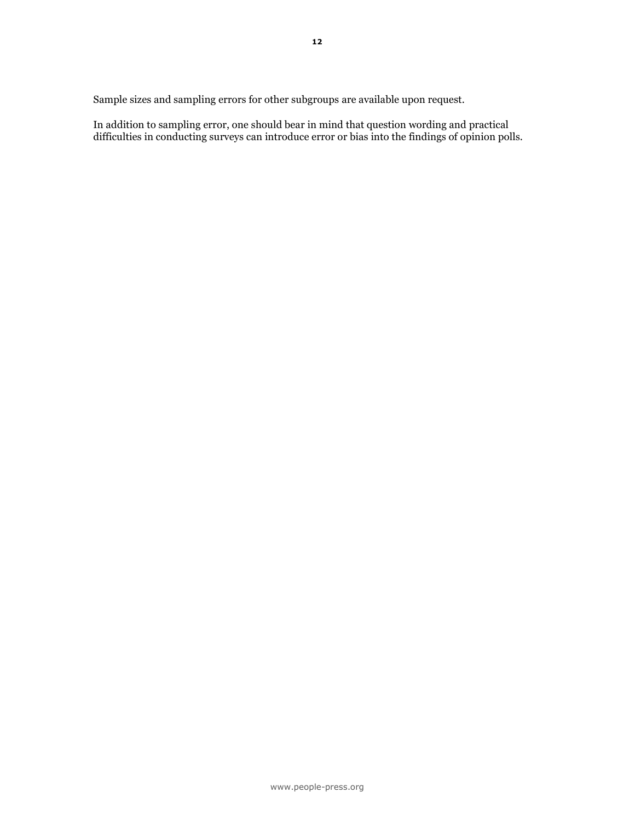Sample sizes and sampling errors for other subgroups are available upon request.

In addition to sampling error, one should bear in mind that question wording and practical difficulties in conducting surveys can introduce error or bias into the findings of opinion polls.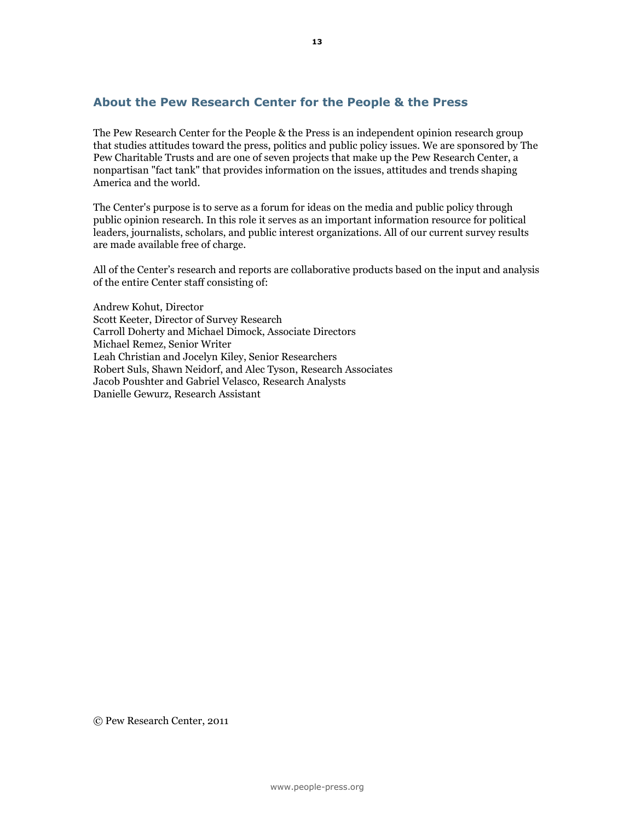### About the Pew Research Center for the People & the Press

The Pew Research Center for the People & the Press is an independent opinion research group that studies attitudes toward the press, politics and public policy issues. We are sponsored by The Pew Charitable Trusts and are one of seven projects that make up the Pew Research Center, a nonpartisan "fact tank" that provides information on the issues, attitudes and trends shaping America and the world.

The Center's purpose is to serve as a forum for ideas on the media and public policy through public opinion research. In this role it serves as an important information resource for political leaders, journalists, scholars, and public interest organizations. All of our current survey results are made available free of charge.

All of the Center's research and reports are collaborative products based on the input and analysis of the entire Center staff consisting of:

Andrew Kohut, Director Scott Keeter, Director of Survey Research Carroll Doherty and Michael Dimock, Associate Directors Michael Remez, Senior Writer Leah Christian and Jocelyn Kiley, Senior Researchers Robert Suls, Shawn Neidorf, and Alec Tyson, Research Associates Jacob Poushter and Gabriel Velasco, Research Analysts Danielle Gewurz, Research Assistant

© Pew Research Center, 2011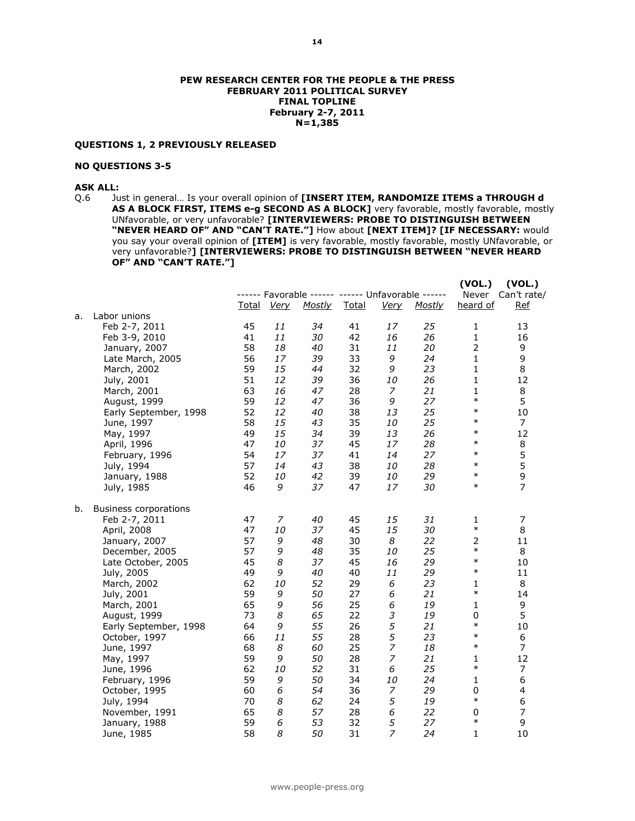#### PEW RESEARCH CENTER FOR THE PEOPLE & THE PRESS FEBRUARY 2011 POLITICAL SURVEY FINAL TOPLINE February 2-7, 2011 N=1,385

#### QUESTIONS 1, 2 PREVIOUSLY RELEASED

#### NO QUESTIONS 3-5

### ASK ALL:

Q.6 Just in general... Is your overall opinion of [INSERT ITEM, RANDOMIZE ITEMS a THROUGH d AS A BLOCK FIRST, ITEMS e-g SECOND AS A BLOCK] very favorable, mostly favorable, mostly UNfavorable, or very unfavorable? [INTERVIEWERS: PROBE TO DISTINGUISH BETWEEN "NEVER HEARD OF" AND "CAN'T RATE."] How about [NEXT ITEM]? [IF NECESSARY: would you say your overall opinion of [ITEM] is very favorable, mostly favorable, mostly UNfavorable, or very unfavorable?] [INTERVIEWERS: PROBE TO DISTINGUISH BETWEEN "NEVER HEARD OF" AND "CAN'T RATE."]

|    |                              |              |             |                                                   |              |                             |        | (VOL.)         | (VOL.)            |
|----|------------------------------|--------------|-------------|---------------------------------------------------|--------------|-----------------------------|--------|----------------|-------------------|
|    |                              |              |             | ------ Favorable ------ ------ Unfavorable ------ |              |                             |        |                | Never Can't rate/ |
|    |                              | <u>Total</u> | <u>Very</u> | <u>Mostly</u>                                     | <b>Total</b> | <b>Very</b>                 | Mostly | heard of       | <b>Ref</b>        |
| a. | Labor unions                 |              |             |                                                   |              |                             |        |                |                   |
|    | Feb 2-7, 2011                | 45           | 11          | 34                                                | 41           | 17                          | 25     | 1              | 13                |
|    | Feb 3-9, 2010                | 41           | 11          | 30                                                | 42           | 16                          | 26     | $\mathbf{1}$   | 16                |
|    | January, 2007                | 58           | 18          | 40                                                | 31           | 11                          | 20     | $\overline{2}$ | 9                 |
|    | Late March, 2005             | 56           | 17          | 39                                                | 33           | 9                           | 24     | $\mathbf{1}$   | 9                 |
|    | March, 2002                  | 59           | 15          | 44                                                | 32           | 9                           | 23     | $\mathbf{1}$   | 8                 |
|    | July, 2001                   | 51           | 12          | 39                                                | 36           | 10                          | 26     | $\mathbf{1}$   | 12                |
|    | March, 2001                  | 63           | 16          | 47                                                | 28           | 7                           | 21     | $\mathbf{1}$   | 8                 |
|    | August, 1999                 | 59           | 12          | 47                                                | 36           | 9                           | 27     | $\ast$         | 5                 |
|    | Early September, 1998        | 52           | 12          | 40                                                | 38           | 13                          | 25     | $\ast$         | 10                |
|    | June, 1997                   | 58           | 15          | 43                                                | 35           | 10                          | 25     | $\ast$         | $\overline{7}$    |
|    | May, 1997                    | 49           | 15          | 34                                                | 39           | 13                          | 26     | $\ast$         | 12                |
|    | April, 1996                  | 47           | 10          | 37                                                | 45           | 17                          | 28     | $\ast$         | 8                 |
|    | February, 1996               | 54           | 17          | 37                                                | 41           | 14                          | 27     | $\ast$         | 5                 |
|    | July, 1994                   | 57           | 14          | 43                                                | 38           | 10                          | 28     | $\ast$         | 5                 |
|    | January, 1988                | 52           | 10          | 42                                                | 39           | 10                          | 29     | $\ast$         | 9                 |
|    | July, 1985                   | 46           | 9           | 37                                                | 47           | 17                          | 30     | $\ast$         | $\overline{7}$    |
| b. | <b>Business corporations</b> |              |             |                                                   |              |                             |        |                |                   |
|    | Feb 2-7, 2011                | 47           | 7           | 40                                                | 45           | 15                          | 31     | $\mathbf{1}$   | $\boldsymbol{7}$  |
|    | April, 2008                  | 47           | 10          | 37                                                | 45           | 15                          | 30     | $\ast$         | 8                 |
|    | January, 2007                | 57           | 9           | 48                                                | 30           | 8                           | 22     | $\overline{2}$ | 11                |
|    | December, 2005               | 57           | 9           | 48                                                | 35           | 10                          | 25     | $\ast$         | 8                 |
|    | Late October, 2005           | 45           | 8           | 37                                                | 45           | 16                          | 29     | $\ast$         | 10                |
|    | July, 2005                   | 49           | 9           | 40                                                | 40           | 11                          | 29     | $\ast$         | 11                |
|    | March, 2002                  | 62           | 10          | 52                                                | 29           | 6                           | 23     | $\mathbf{1}$   | 8                 |
|    | July, 2001                   | 59           | 9           | 50                                                | 27           | 6                           | 21     | $\ast$         | 14                |
|    | March, 2001                  | 65           | 9           | 56                                                | 25           | 6                           | 19     | $\mathbf{1}$   | 9                 |
|    | August, 1999                 | 73           | 8           | 65                                                | 22           | $\ensuremath{\mathfrak{Z}}$ | 19     | 0              | 5                 |
|    | Early September, 1998        | 64           | 9           | 55                                                | 26           | 5                           | 21     | $\ast$         | 10                |
|    | October, 1997                | 66           | 11          | 55                                                | 28           | 5                           | 23     | $\ast$         | 6                 |
|    | June, 1997                   | 68           | 8           | 60                                                | 25           | $\overline{z}$              | 18     | $\ast$         | $\overline{7}$    |
|    | May, 1997                    | 59           | 9           | 50                                                | 28           | $\overline{z}$              | 21     | $\mathbf{1}$   | 12                |
|    | June, 1996                   | 62           | 10          | 52                                                | 31           | 6                           | 25     | $\ast$         | 7                 |
|    | February, 1996               | 59           | 9           | 50                                                | 34           | 10                          | 24     | $\mathbf{1}$   | 6                 |
|    | October, 1995                | 60           | 6           | 54                                                | 36           | $\overline{z}$              | 29     | 0              | 4                 |
|    | July, 1994                   | 70           | 8           | 62                                                | 24           | 5                           | 19     | $\ast$         | 6                 |
|    | November, 1991               | 65           | 8           | 57                                                | 28           | 6                           | 22     | $\mathbf 0$    | 7                 |
|    | January, 1988                | 59           | 6           | 53                                                | 32           | 5                           | 27     | $\ast$         | 9                 |
|    | June, 1985                   | 58           | 8           | 50                                                | 31           | $\overline{z}$              | 24     | $\mathbf{1}$   | 10                |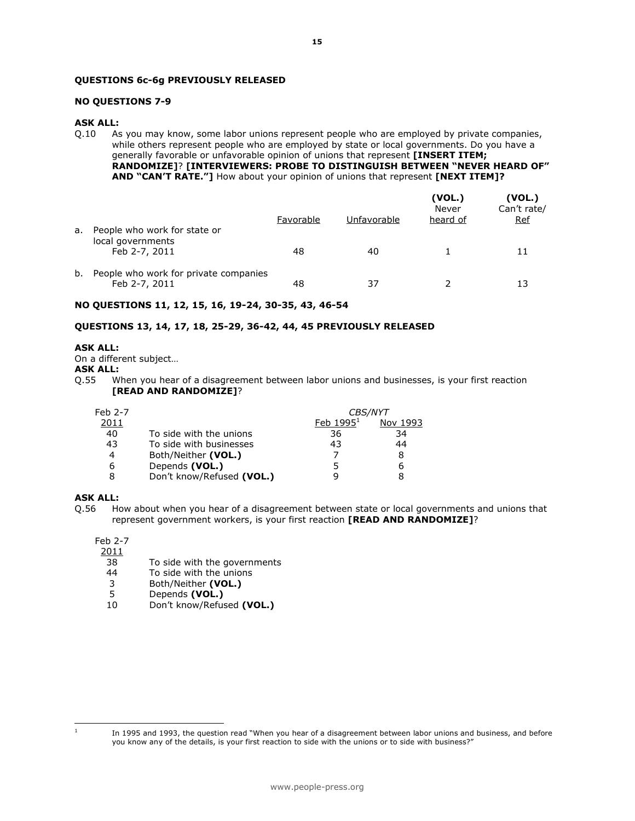#### QUESTIONS 6c-6g PREVIOUSLY RELEASED

#### NO QUESTIONS 7-9

#### ASK ALL:

Q.10 As you may know, some labor unions represent people who are employed by private companies, while others represent people who are employed by state or local governments. Do you have a generally favorable or unfavorable opinion of unions that represent [INSERT ITEM; RANDOMIZE]? [INTERVIEWERS: PROBE TO DISTINGUISH BETWEEN "NEVER HEARD OF" AND "CAN'T RATE."] How about your opinion of unions that represent [NEXT ITEM]?

|    |                                                                    | Favorable | Unfavorable | (VOL.)<br>Never<br>heard of | (VOL.)<br>Can't rate/<br><b>Ref</b> |
|----|--------------------------------------------------------------------|-----------|-------------|-----------------------------|-------------------------------------|
| a. | People who work for state or<br>local governments<br>Feb 2-7, 2011 | 48        | 40          |                             | 11                                  |
| b. | People who work for private companies<br>Feb 2-7, 2011             | 48        | 37          |                             | 13                                  |

#### NO QUESTIONS 11, 12, 15, 16, 19-24, 30-35, 43, 46-54

#### QUESTIONS 13, 14, 17, 18, 25-29, 36-42, 44, 45 PREVIOUSLY RELEASED

#### ASK ALL:

On a different subject…

ASK ALL:

Q.55 When you hear of a disagreement between labor unions and businesses, is your first reaction [READ AND RANDOMIZE]?

| Feb 2-7 |                           | <i>CBS/NYT</i> |          |
|---------|---------------------------|----------------|----------|
| 2011    |                           | Feb $19951$    | Nov 1993 |
| 40      | To side with the unions   | 36             | 34       |
| 43      | To side with businesses   | 43             | 44       |
| 4       | Both/Neither (VOL.)       |                |          |
| 6       | Depends (VOL.)            |                | 6        |
|         | Don't know/Refused (VOL.) |                |          |

#### ASK ALL:

Q.56 How about when you hear of a disagreement between state or local governments and unions that represent government workers, is your first reaction [READ AND RANDOMIZE]?

#### Feb 2-7

2011

- 38 To side with the governments<br>44 To side with the unions
- 44 To side with the unions<br>3 Both/Neither (VOL.)
- 3 Both/Neither (VOL.)<br>5 Depends (VOL.)
- 5 Depends (VOL.)<br>10 Don't know/Refus
- Don't know/Refused (VOL.)

 $\frac{1}{1}$ 

In 1995 and 1993, the question read "When you hear of a disagreement between labor unions and business, and before you know any of the details, is your first reaction to side with the unions or to side with business?"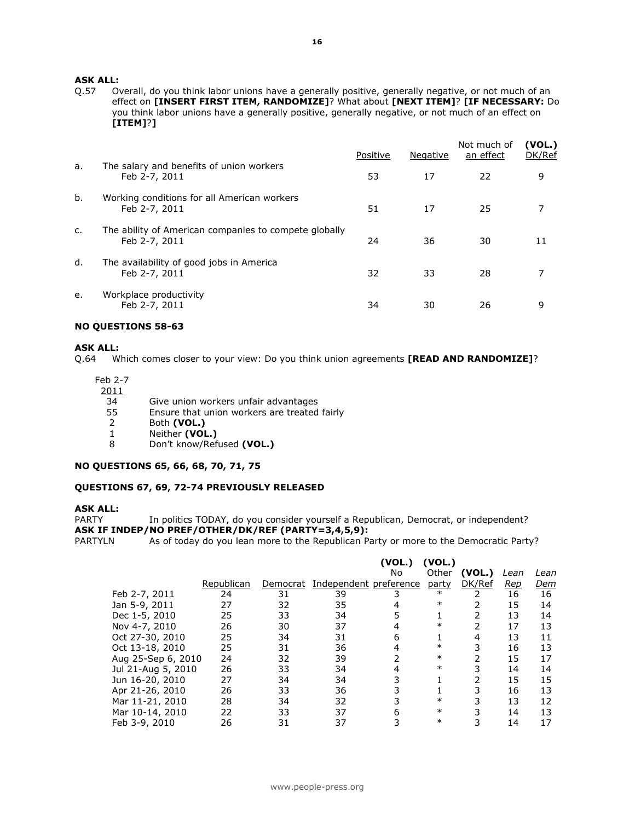# **ASK ALL:**<br>0.57 0

Overall, do you think labor unions have a generally positive, generally negative, or not much of an effect on [INSERT FIRST ITEM, RANDOMIZE]? What about [NEXT ITEM]? [IF NECESSARY: Do you think labor unions have a generally positive, generally negative, or not much of an effect on [ITEM]?]

|              |                                                                        | Positive | Negative | Not much of<br>an effect | (VOL.)<br>DK/Ref |
|--------------|------------------------------------------------------------------------|----------|----------|--------------------------|------------------|
| a.           | The salary and benefits of union workers<br>Feb 2-7, 2011              | 53       | 17       | 22                       | 9                |
| b.           | Working conditions for all American workers<br>Feb 2-7, 2011           | 51       | 17       | 25                       | 7                |
| $\mathsf{C}$ | The ability of American companies to compete globally<br>Feb 2-7, 2011 | 24       | 36       | 30                       | 11               |
| d.           | The availability of good jobs in America<br>Feb 2-7, 2011              | 32       | 33       | 28                       | 7                |
| e.           | Workplace productivity<br>Feb 2-7, 2011                                | 34       | 30       | 26                       | 9                |

#### NO QUESTIONS 58-63

#### ASK ALL:

Q.64 Which comes closer to your view: Do you think union agreements [READ AND RANDOMIZE]?

Feb 2-7

| 2011 |                                              |
|------|----------------------------------------------|
| 34   | Give union workers unfair advantages         |
| 55   | Ensure that union workers are treated fairly |
|      | Both (VOL.)                                  |
|      | Neither (VOL.)                               |
| 8    | Don't know/Refused (VOL.)                    |
|      |                                              |

#### NO QUESTIONS 65, 66, 68, 70, 71, 75

#### QUESTIONS 67, 69, 72-74 PREVIOUSLY RELEASED

#### ASK ALL:

PARTY In politics TODAY, do you consider yourself a Republican, Democrat, or independent? **ASK IF INDEP/NO PREF/OTHER/DK/REF (PARTY=3,4,5,9):**<br>PARTYLN As of today do you lean more to the Republican Pa

As of today do you lean more to the Republican Party or more to the Democratic Party?

|                    |            |    |                                 | (VOL.) | (VOL.)       |        |      |            |
|--------------------|------------|----|---------------------------------|--------|--------------|--------|------|------------|
|                    |            |    |                                 | No.    | Other        | (VOL.) | Lean | Lean       |
|                    | Republican |    | Democrat Independent preference |        | <u>party</u> | DK/Ref | Rep  | <u>Dem</u> |
| Feb 2-7, 2011      | 24         | 31 | 39                              |        | $\ast$       |        | 16   | 16         |
| Jan 5-9, 2011      | 27         | 32 | 35                              |        | $\ast$       |        | 15   | 14         |
| Dec 1-5, 2010      | 25         | 33 | 34                              |        |              |        | 13   | 14         |
| Nov 4-7, 2010      | 26         | 30 | 37                              | 4      | $\ast$       | 2      | 17   | 13         |
| Oct 27-30, 2010    | 25         | 34 | 31                              | 6      |              | 4      | 13   | 11         |
| Oct 13-18, 2010    | 25         | 31 | 36                              |        | $\ast$       | 3      | 16   | 13         |
| Aug 25-Sep 6, 2010 | 24         | 32 | 39                              |        | $\ast$       |        | 15   | 17         |
| Jul 21-Aug 5, 2010 | 26         | 33 | 34                              |        | $\ast$       | 3      | 14   | 14         |
| Jun 16-20, 2010    | 27         | 34 | 34                              |        |              |        | 15   | 15         |
| Apr 21-26, 2010    | 26         | 33 | 36                              |        |              | 3      | 16   | 13         |
| Mar 11-21, 2010    | 28         | 34 | 32                              |        | $\ast$       | 3      | 13   | 12         |
| Mar 10-14, 2010    | 22         | 33 | 37                              | 6      | $\ast$       |        | 14   | 13         |
| Feb 3-9, 2010      | 26         | 31 | 37                              |        | $\ast$       |        | 14   | 17         |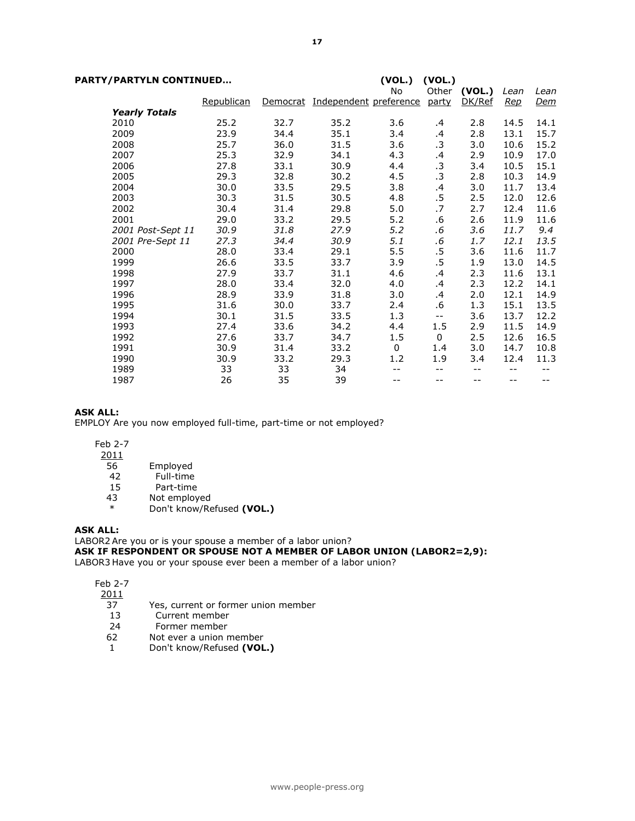| PARTY/PARTYLN CONTINUED |                      |            |      | (VOL.)<br>(VOL.)                |             |           |              |            |            |
|-------------------------|----------------------|------------|------|---------------------------------|-------------|-----------|--------------|------------|------------|
|                         |                      |            |      |                                 | No          |           | Other (VOL.) | Lean       | Lean       |
|                         |                      | Republican |      | Democrat Independent preference |             | party     | DK/Ref       | <u>Rep</u> | <u>Dem</u> |
|                         | <b>Yearly Totals</b> |            |      |                                 |             |           |              |            |            |
|                         | 2010                 | 25.2       | 32.7 | 35.2                            | 3.6         | .4        | 2.8          | 14.5       | 14.1       |
|                         | 2009                 | 23.9       | 34.4 | 35.1                            | 3.4         | .4        | 2.8          | 13.1       | 15.7       |
|                         | 2008                 | 25.7       | 36.0 | 31.5                            | 3.6         | .3        | 3.0          | 10.6       | 15.2       |
|                         | 2007                 | 25.3       | 32.9 | 34.1                            | 4.3         | .4        | 2.9          | 10.9       | 17.0       |
|                         | 2006                 | 27.8       | 33.1 | 30.9                            | 4.4         | $\cdot$ 3 | 3.4          | 10.5       | 15.1       |
|                         | 2005                 | 29.3       | 32.8 | 30.2                            | 4.5         | .3        | 2.8          | 10.3       | 14.9       |
|                         | 2004                 | 30.0       | 33.5 | 29.5                            | 3.8         | .4        | 3.0          | 11.7       | 13.4       |
|                         | 2003                 | 30.3       | 31.5 | 30.5                            | 4.8         | $.5\,$    | 2.5          | 12.0       | 12.6       |
|                         | 2002                 | 30.4       | 31.4 | 29.8                            | 5.0         | .7        | 2.7          | 12.4       | 11.6       |
|                         | 2001                 | 29.0       | 33.2 | 29.5                            | 5.2         | .6        | 2.6          | 11.9       | 11.6       |
|                         | 2001 Post-Sept 11    | 30.9       | 31.8 | 27.9                            | 5.2         | .6        | 3.6          | 11.7       | 9.4        |
|                         | 2001 Pre-Sept 11     | 27.3       | 34.4 | 30.9                            | 5.1         | .6        | 1.7          | 12.1       | 13.5       |
|                         | 2000                 | 28.0       | 33.4 | 29.1                            | 5.5         | $.5\,$    | 3.6          | 11.6       | 11.7       |
|                         | 1999                 | 26.6       | 33.5 | 33.7                            | 3.9         | $.5\,$    | 1.9          | 13.0       | 14.5       |
|                         | 1998                 | 27.9       | 33.7 | 31.1                            | 4.6         | .4        | 2.3          | 11.6       | 13.1       |
|                         | 1997                 | 28.0       | 33.4 | 32.0                            | 4.0         | .4        | 2.3          | 12.2       | 14.1       |
|                         | 1996                 | 28.9       | 33.9 | 31.8                            | 3.0         | .4        | 2.0          | 12.1       | 14.9       |
|                         | 1995                 | 31.6       | 30.0 | 33.7                            | 2.4         | .6        | 1.3          | 15.1       | 13.5       |
|                         | 1994                 | 30.1       | 31.5 | 33.5                            | 1.3         | --        | 3.6          | 13.7       | 12.2       |
|                         | 1993                 | 27.4       | 33.6 | 34.2                            | 4.4         | 1.5       | 2.9          | 11.5       | 14.9       |
|                         | 1992                 | 27.6       | 33.7 | 34.7                            | 1.5         | 0         | 2.5          | 12.6       | 16.5       |
|                         | 1991                 | 30.9       | 31.4 | 33.2                            | $\mathbf 0$ | 1.4       | 3.0          | 14.7       | 10.8       |
|                         | 1990                 | 30.9       | 33.2 | 29.3                            | 1.2         | 1.9       | 3.4          | 12.4       | 11.3       |
|                         | 1989                 | 33         | 33   | 34                              | $- -$       | $-1$      |              |            |            |
|                         | 1987                 | 26         | 35   | 39                              | --          | --        | $- -$        | $- -$      | --         |

#### ASK ALL:

EMPLOY Are you now employed full-time, part-time or not employed?

Feb 2-7

- 2011
- 56 Employed
- 42 Full-time<br>15 Part-time
- Part-time
- 43 Not employed<br>  $*$  Don't know/Pe
	- Don't know/Refused (VOL.)

#### ASK ALL:

LABOR2 Are you or is your spouse a member of a labor union? ASK IF RESPONDENT OR SPOUSE NOT A MEMBER OF LABOR UNION (LABOR2=2,9):

LABOR3 Have you or your spouse ever been a member of a labor union?

Feb 2-7

- $\frac{2011}{37}$ 
	- 37 Yes, current or former union member<br>13 Current member
	- 13 Current member<br>24 Former member
	- Former member
- 62 Not ever a union member
- 1 Don't know/Refused (VOL.)